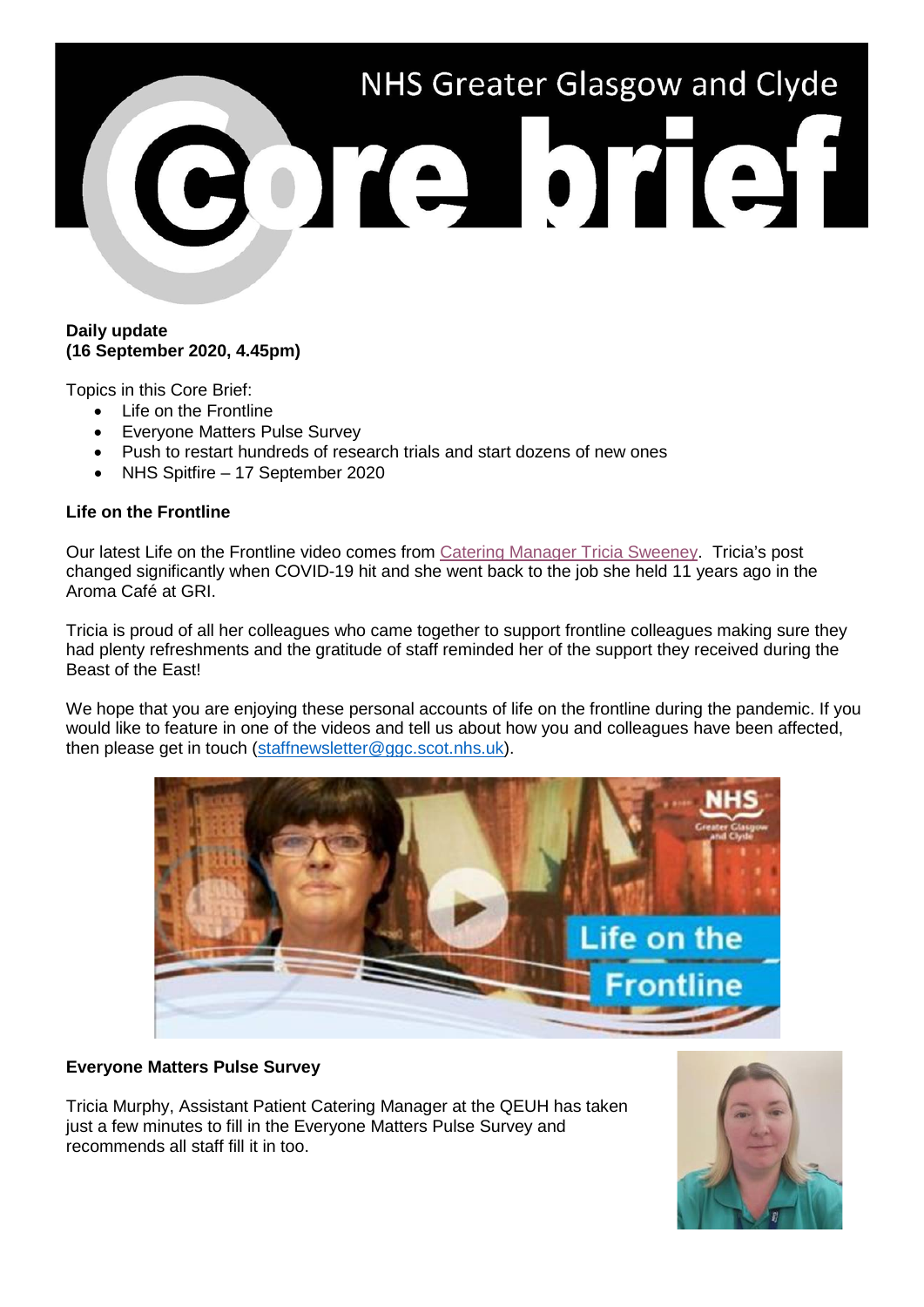

## **Daily update (16 September 2020, 4.45pm)**

Topics in this Core Brief:

- Life on the Frontline
- Everyone Matters Pulse Survey
- Push to restart hundreds of research trials and start dozens of new ones
- NHS Spitfire 17 September 2020

## **Life on the Frontline**

Our latest Life on the Frontline video comes from [Catering Manager Tricia Sweeney.](https://www.youtube.com/watch?v=zetee1r3epo) Tricia's post changed significantly when COVID-19 hit and she went back to the job she held 11 years ago in the Aroma Café at GRI.

Tricia is proud of all her colleagues who came together to support frontline colleagues making sure they had plenty refreshments and the gratitude of staff reminded her of the support they received during the Beast of the East!

We hope that you are enjoying these personal accounts of life on the frontline during the pandemic. If you would like to feature in one of the videos and tell us about how you and colleagues have been affected, then please get in touch [\(staffnewsletter@ggc.scot.nhs.uk\)](mailto:staffnewsletter@ggc.scot.nhs.uk).



# **Everyone Matters Pulse Survey**

Tricia Murphy, Assistant Patient Catering Manager at the QEUH has taken just a few minutes to fill in the Everyone Matters Pulse Survey and recommends all staff fill it in too.

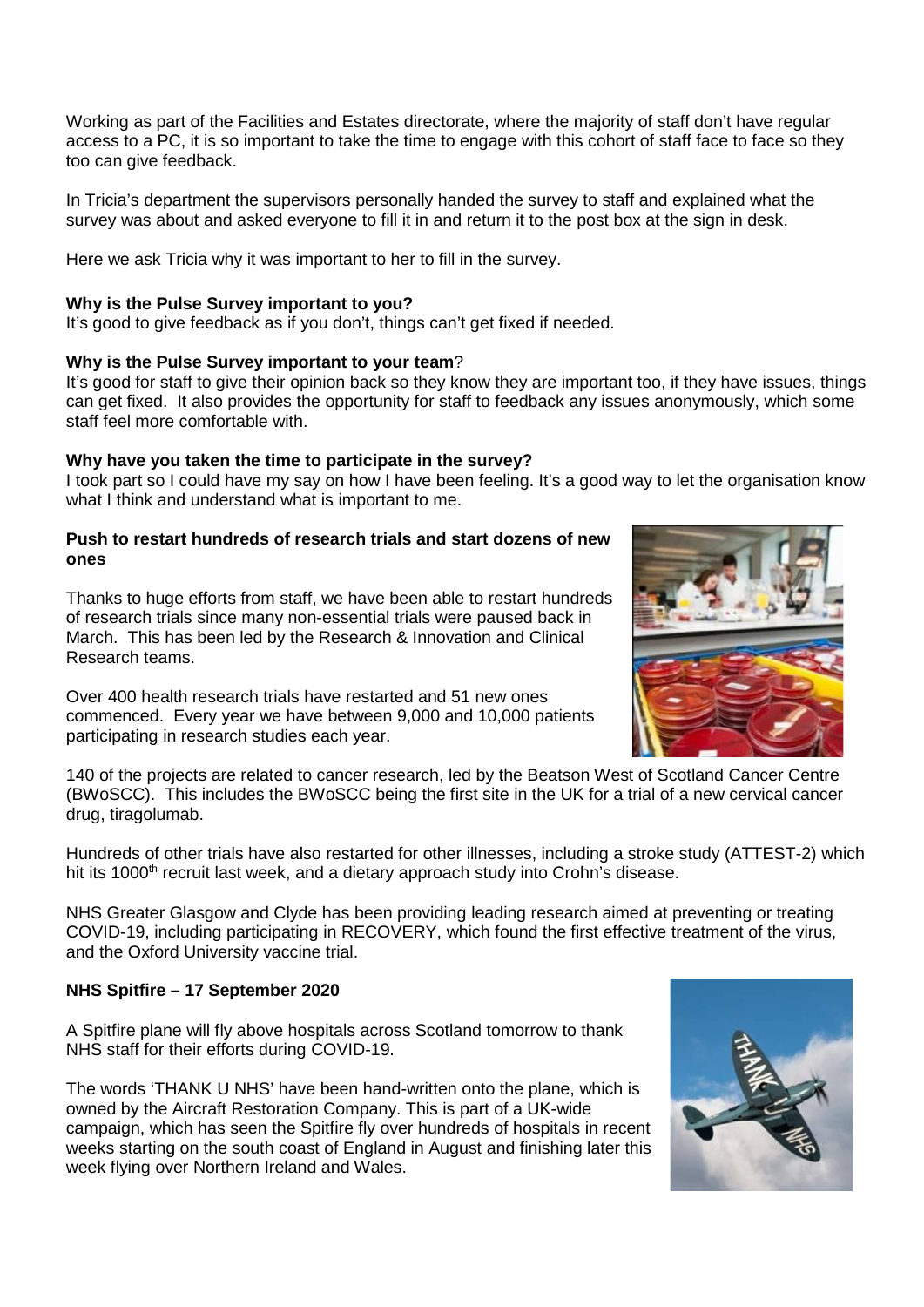Working as part of the Facilities and Estates directorate, where the majority of staff don't have regular access to a PC, it is so important to take the time to engage with this cohort of staff face to face so they too can give feedback.

In Tricia's department the supervisors personally handed the survey to staff and explained what the survey was about and asked everyone to fill it in and return it to the post box at the sign in desk.

Here we ask Tricia why it was important to her to fill in the survey.

## **Why is the Pulse Survey important to you?**

It's good to give feedback as if you don't, things can't get fixed if needed.

#### **Why is the Pulse Survey important to your team**?

It's good for staff to give their opinion back so they know they are important too, if they have issues, things can get fixed. It also provides the opportunity for staff to feedback any issues anonymously, which some staff feel more comfortable with.

## **Why have you taken the time to participate in the survey?**

I took part so I could have my say on how I have been feeling. It's a good way to let the organisation know what I think and understand what is important to me.

## **Push to restart hundreds of research trials and start dozens of new ones**

Thanks to huge efforts from staff, we have been able to restart hundreds of research trials since many non-essential trials were paused back in March. This has been led by the Research & Innovation and Clinical Research teams.

Over 400 health research trials have restarted and 51 new ones commenced. Every year we have between 9,000 and 10,000 patients participating in research studies each year.

140 of the projects are related to cancer research, led by the Beatson West of Scotland Cancer Centre (BWoSCC). This includes the BWoSCC being the first site in the UK for a trial of a new cervical cancer drug, tiragolumab.

Hundreds of other trials have also restarted for other illnesses, including a stroke study (ATTEST-2) which hit its 1000<sup>th</sup> recruit last week, and a dietary approach study into Crohn's disease.

NHS Greater Glasgow and Clyde has been providing leading research aimed at preventing or treating COVID-19, including participating in RECOVERY, which found the first effective treatment of the virus, and the Oxford University vaccine trial.

## **NHS Spitfire – 17 September 2020**

A Spitfire plane will fly above hospitals across Scotland tomorrow to thank NHS staff for their efforts during COVID-19.

The words 'THANK U NHS' have been hand-written onto the plane, which is owned by the Aircraft Restoration Company. This is part of a UK-wide campaign, which has seen the Spitfire fly over hundreds of hospitals in recent weeks starting on the south coast of England in August and finishing later this week flying over Northern Ireland and Wales.